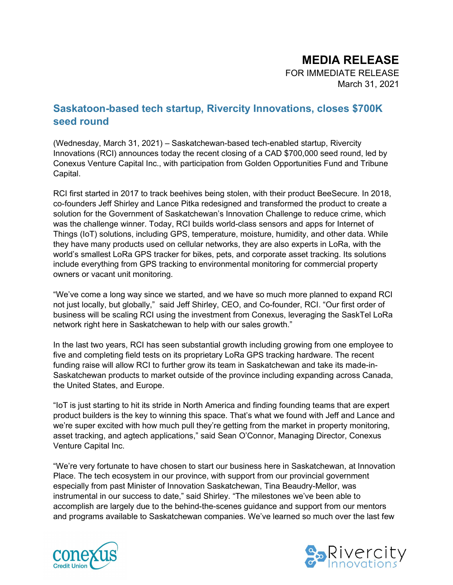# MEDIA RELEASE

FOR IMMEDIATE RELEASE March 31, 2021

# Saskatoon-based tech startup, Rivercity Innovations, closes \$700K seed round

(Wednesday, March 31, 2021) – Saskatchewan-based tech-enabled startup, Rivercity Innovations (RCI) announces today the recent closing of a CAD \$700,000 seed round, led by Conexus Venture Capital Inc., with participation from Golden Opportunities Fund and Tribune Capital.

RCI first started in 2017 to track beehives being stolen, with their product BeeSecure. In 2018, co-founders Jeff Shirley and Lance Pitka redesigned and transformed the product to create a solution for the Government of Saskatchewan's Innovation Challenge to reduce crime, which was the challenge winner. Today, RCI builds world-class sensors and apps for Internet of Things (IoT) solutions, including GPS, temperature, moisture, humidity, and other data. While they have many products used on cellular networks, they are also experts in LoRa, with the world's smallest LoRa GPS tracker for bikes, pets, and corporate asset tracking. Its solutions include everything from GPS tracking to environmental monitoring for commercial property owners or vacant unit monitoring.

"We've come a long way since we started, and we have so much more planned to expand RCI not just locally, but globally," said Jeff Shirley, CEO, and Co-founder, RCI. "Our first order of business will be scaling RCI using the investment from Conexus, leveraging the SaskTel LoRa network right here in Saskatchewan to help with our sales growth."

In the last two years, RCI has seen substantial growth including growing from one employee to five and completing field tests on its proprietary LoRa GPS tracking hardware. The recent funding raise will allow RCI to further grow its team in Saskatchewan and take its made-in-Saskatchewan products to market outside of the province including expanding across Canada, the United States, and Europe.

"IoT is just starting to hit its stride in North America and finding founding teams that are expert product builders is the key to winning this space. That's what we found with Jeff and Lance and we're super excited with how much pull they're getting from the market in property monitoring, asset tracking, and agtech applications," said Sean O'Connor, Managing Director, Conexus Venture Capital Inc.

"We're very fortunate to have chosen to start our business here in Saskatchewan, at Innovation Place. The tech ecosystem in our province, with support from our provincial government especially from past Minister of Innovation Saskatchewan, Tina Beaudry-Mellor, was instrumental in our success to date," said Shirley. "The milestones we've been able to accomplish are largely due to the behind-the-scenes guidance and support from our mentors and programs available to Saskatchewan companies. We've learned so much over the last few